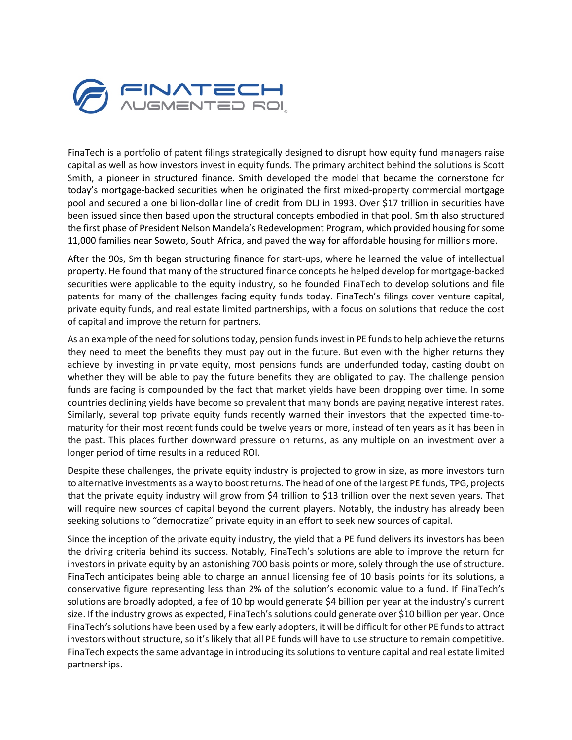

FinaTech is a portfolio of patent filings strategically designed to disrupt how equity fund managers raise capital as well as how investors invest in equity funds. The primary architect behind the solutions is Scott Smith, a pioneer in structured finance. Smith developed the model that became the cornerstone for today's mortgage-backed securities when he originated the first mixed-property commercial mortgage pool and secured a one billion-dollar line of credit from DLJ in 1993. Over \$17 trillion in securities have been issued since then based upon the structural concepts embodied in that pool. Smith also structured the first phase of President Nelson Mandela's Redevelopment Program, which provided housing for some 11,000 families near Soweto, South Africa, and paved the way for affordable housing for millions more.

After the 90s, Smith began structuring finance for start-ups, where he learned the value of intellectual property. He found that many of the structured finance concepts he helped develop for mortgage-backed securities were applicable to the equity industry, so he founded FinaTech to develop solutions and file patents for many of the challenges facing equity funds today. FinaTech's filings cover venture capital, private equity funds, and real estate limited partnerships, with a focus on solutions that reduce the cost of capital and improve the return for partners.

As an example of the need for solutions today, pension fundsinvest in PE funds to help achieve the returns they need to meet the benefits they must pay out in the future. But even with the higher returns they achieve by investing in private equity, most pensions funds are underfunded today, casting doubt on whether they will be able to pay the future benefits they are obligated to pay. The challenge pension funds are facing is compounded by the fact that market yields have been dropping over time. In some countries declining yields have become so prevalent that many bonds are paying negative interest rates. Similarly, several top private equity funds recently warned their investors that the expected time-tomaturity for their most recent funds could be twelve years or more, instead of ten years as it has been in the past. This places further downward pressure on returns, as any multiple on an investment over a longer period of time results in a reduced ROI.

Despite these challenges, the private equity industry is projected to grow in size, as more investors turn to alternative investments as a way to boost returns. The head of one of the largest PE funds, TPG, projects that the private equity industry will grow from \$4 trillion to \$13 trillion over the next seven years. That will require new sources of capital beyond the current players. Notably, the industry has already been seeking solutions to "democratize" private equity in an effort to seek new sources of capital.

Since the inception of the private equity industry, the yield that a PE fund delivers its investors has been the driving criteria behind its success. Notably, FinaTech's solutions are able to improve the return for investors in private equity by an astonishing 700 basis points or more, solely through the use of structure. FinaTech anticipates being able to charge an annual licensing fee of 10 basis points for its solutions, a conservative figure representing less than 2% of the solution's economic value to a fund. If FinaTech's solutions are broadly adopted, a fee of 10 bp would generate \$4 billion per year at the industry's current size. If the industry grows as expected, FinaTech's solutions could generate over \$10 billion per year. Once FinaTech's solutions have been used by a few early adopters, it will be difficult for other PE funds to attract investors without structure, so it's likely that all PE funds will have to use structure to remain competitive. FinaTech expects the same advantage in introducing its solutions to venture capital and real estate limited partnerships.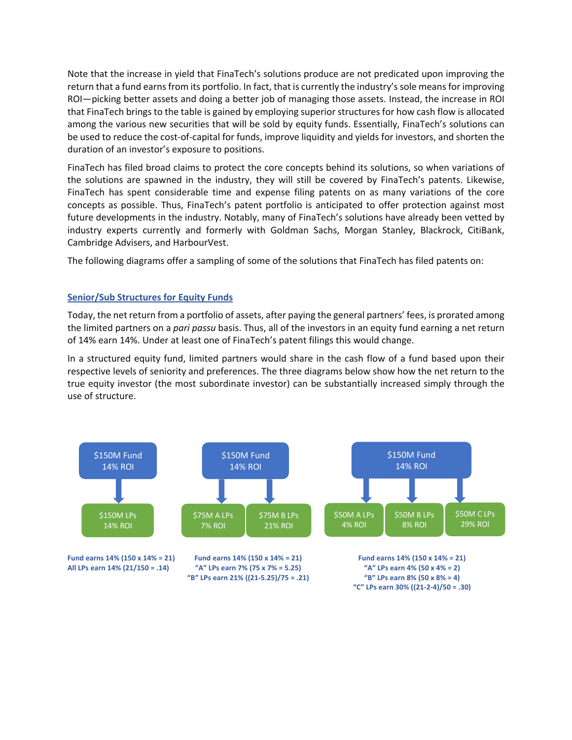Note that the increase in yield that FinaTech's solutions produce are not predicated upon improving the return that a fund earns from its portfolio. In fact, that is currently the industry's sole means for improving ROI—picking better assets and doing a better job of managing those assets. Instead, the increase in ROI that FinaTech brings to the table is gained by employing superior structures for how cash flow is allocated among the various new securities that will be sold by equity funds. Essentially, FinaTech's solutions can be used to reduce the cost-of-capital for funds, improve liquidity and yields for investors, and shorten the duration of an investor's exposure to positions.

FinaTech has filed broad claims to protect the core concepts behind its solutions, so when variations of the solutions are spawned in the industry, they will still be covered by FinaTech's patents. Likewise, FinaTech has spent considerable time and expense filing patents on as many variations of the core concepts as possible. Thus, FinaTech's patent portfolio is anticipated to offer protection against most future developments in the industry. Notably, many of FinaTech's solutions have already been vetted by industry experts currently and formerly with Goldman Sachs, Morgan Stanley, Blackrock, CitiBank, Cambridge Advisers, and HarbourVest.

The following diagrams offer a sampling of some of the solutions that FinaTech has filed patents on:

# **Senior/Sub Structures for Equity Funds**

Today, the net return from a portfolio of assets, after paying the general partners' fees, is prorated among the limited partners on a *pari passu* basis. Thus, all of the investors in an equity fund earning a net return of 14% earn 14%. Under at least one of FinaTech's patent filings this would change.

In a structured equity fund, limited partners would share in the cash flow of a fund based upon their respective levels of seniority and preferences. The three diagrams below show how the net return to the true equity investor (the most subordinate investor) can be substantially increased simply through the use of structure.

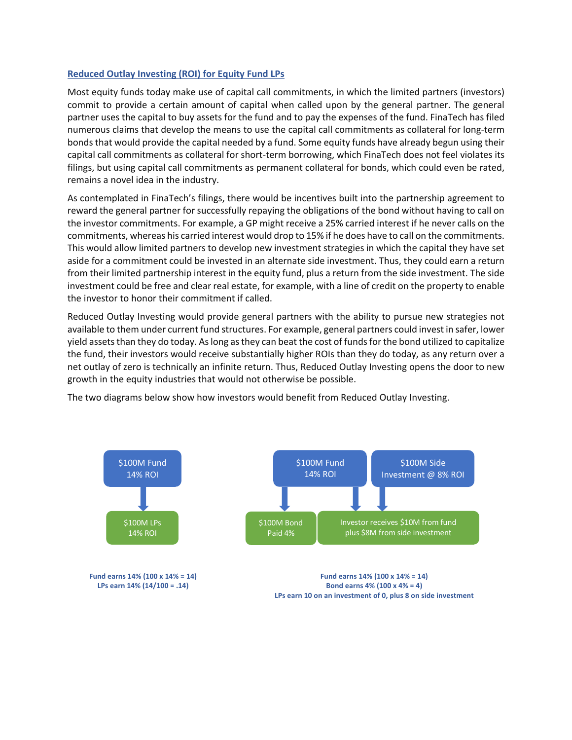# **Reduced Outlay Investing (ROI) for Equity Fund LPs**

Most equity funds today make use of capital call commitments, in which the limited partners (investors) commit to provide a certain amount of capital when called upon by the general partner. The general partner uses the capital to buy assets for the fund and to pay the expenses of the fund. FinaTech has filed numerous claims that develop the means to use the capital call commitments as collateral for long-term bonds that would provide the capital needed by a fund. Some equity funds have already begun using their capital call commitments as collateral for short-term borrowing, which FinaTech does not feel violates its filings, but using capital call commitments as permanent collateral for bonds, which could even be rated, remains a novel idea in the industry.

As contemplated in FinaTech's filings, there would be incentives built into the partnership agreement to reward the general partner for successfully repaying the obligations of the bond without having to call on the investor commitments. For example, a GP might receive a 25% carried interest if he never calls on the commitments, whereas his carried interest would drop to 15% if he does have to call on the commitments. This would allow limited partners to develop new investment strategies in which the capital they have set aside for a commitment could be invested in an alternate side investment. Thus, they could earn a return from their limited partnership interest in the equity fund, plus a return from the side investment. The side investment could be free and clear real estate, for example, with a line of credit on the property to enable the investor to honor their commitment if called.

Reduced Outlay Investing would provide general partners with the ability to pursue new strategies not available to them under current fund structures. For example, general partners could invest in safer, lower yield assets than they do today. As long as they can beat the cost of funds for the bond utilized to capitalize the fund, their investors would receive substantially higher ROIs than they do today, as any return over a net outlay of zero is technically an infinite return. Thus, Reduced Outlay Investing opens the door to new growth in the equity industries that would not otherwise be possible.

The two diagrams below show how investors would benefit from Reduced Outlay Investing.



**Fund earns 14% (100 x 14% = 14) Fund earns 14% (100 x 14% = 14) LPs earn 14% (14/100 = .14) Bond earns 4% (100 x 4% = 4) LPs earn 10 on an investment of 0, plus 8 on side investment**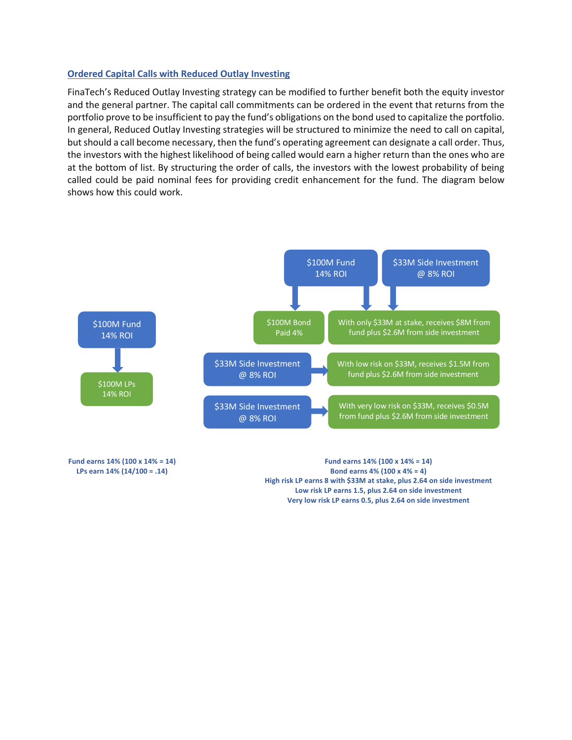### **Ordered Capital Calls with Reduced Outlay Investing**

FinaTech's Reduced Outlay Investing strategy can be modified to further benefit both the equity investor and the general partner. The capital call commitments can be ordered in the event that returns from the portfolio prove to be insufficient to pay the fund's obligations on the bond used to capitalize the portfolio. In general, Reduced Outlay Investing strategies will be structured to minimize the need to call on capital, but should a call become necessary, then the fund's operating agreement can designate a call order. Thus, the investors with the highest likelihood of being called would earn a higher return than the ones who are at the bottom of list. By structuring the order of calls, the investors with the lowest probability of being called could be paid nominal fees for providing credit enhancement for the fund. The diagram below shows how this could work.



**Fund earns 14% (100 x 14% = 14) Fund earns 14% (100 x 14% = 14) LPs earn 14% (14/100 = .14) Bond earns 4% (100 x 4% = 4) High risk LP earns 8 with \$33M at stake, plus 2.64 on side investment Low risk LP earns 1.5, plus 2.64 on side investment Very low risk LP earns 0.5, plus 2.64 on side investment**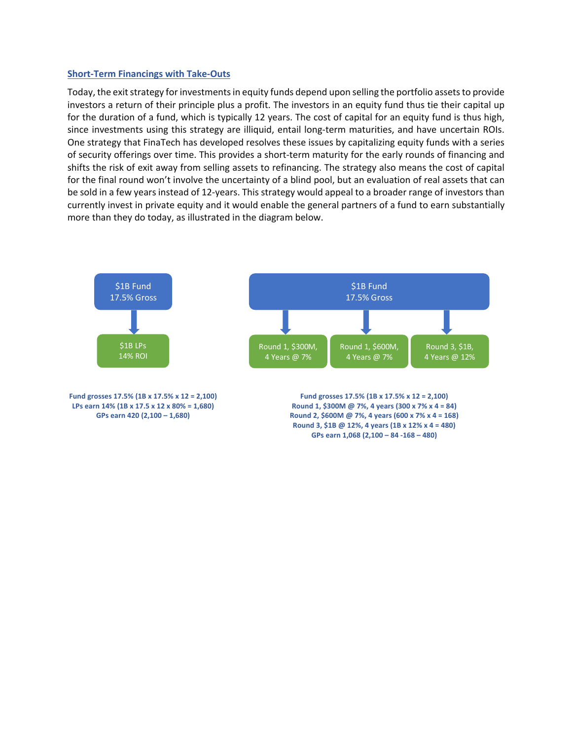#### **Short-Term Financings with Take-Outs**

Today, the exit strategy for investments in equity funds depend upon selling the portfolio assets to provide investors a return of their principle plus a profit. The investors in an equity fund thus tie their capital up for the duration of a fund, which is typically 12 years. The cost of capital for an equity fund is thus high, since investments using this strategy are illiquid, entail long-term maturities, and have uncertain ROIs. One strategy that FinaTech has developed resolves these issues by capitalizing equity funds with a series of security offerings over time. This provides a short-term maturity for the early rounds of financing and shifts the risk of exit away from selling assets to refinancing. The strategy also means the cost of capital for the final round won't involve the uncertainty of a blind pool, but an evaluation of real assets that can be sold in a few years instead of 12-years. This strategy would appeal to a broader range of investors than currently invest in private equity and it would enable the general partners of a fund to earn substantially more than they do today, as illustrated in the diagram below.

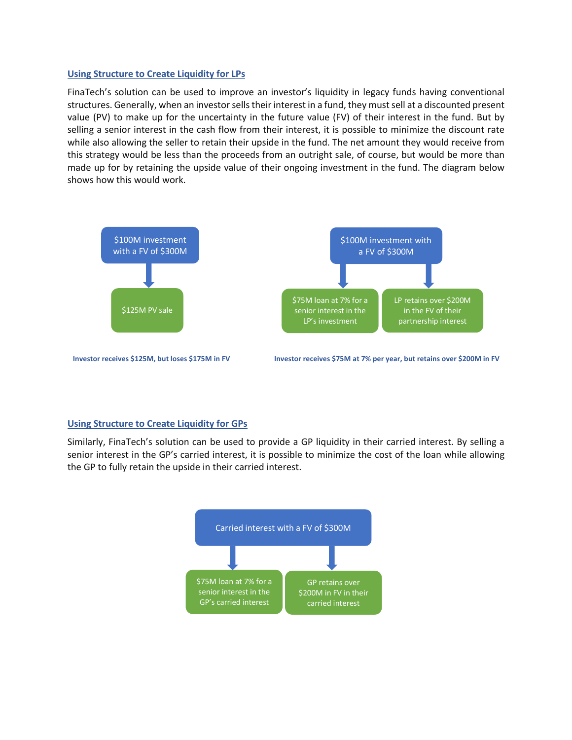### **Using Structure to Create Liquidity for LPs**

FinaTech's solution can be used to improve an investor's liquidity in legacy funds having conventional structures. Generally, when an investor sells their interest in a fund, they must sell at a discounted present value (PV) to make up for the uncertainty in the future value (FV) of their interest in the fund. But by selling a senior interest in the cash flow from their interest, it is possible to minimize the discount rate while also allowing the seller to retain their upside in the fund. The net amount they would receive from this strategy would be less than the proceeds from an outright sale, of course, but would be more than made up for by retaining the upside value of their ongoing investment in the fund. The diagram below shows how this would work.



# **Using Structure to Create Liquidity for GPs**

Similarly, FinaTech's solution can be used to provide a GP liquidity in their carried interest. By selling a senior interest in the GP's carried interest, it is possible to minimize the cost of the loan while allowing the GP to fully retain the upside in their carried interest.